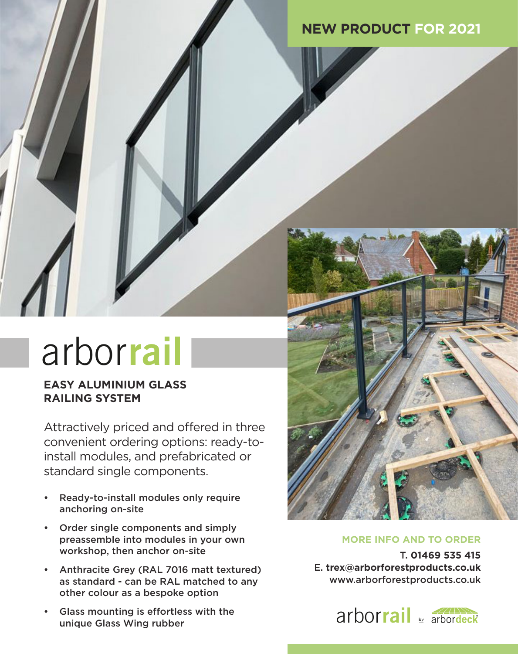# **NEW PRODUCT FOR 2021**

# arborrail

arbor**joist**

arbor**clad**

arbor**board**

arbor**rooms**

arbor**pad**

## **EASY ALUMINIUM GLASS RAILING SYSTEM**

Attractively priced and offered in three convenient ordering options: ready-toinstall modules, and prefabricated or standard single components.

- Ready-to-install modules only require anchoring on-site
- Order single components and simply preassemble into modules in your own workshop, then anchor on-site
- Anthracite Grey (RAL 7016 matt textured) as standard - can be RAL matched to any other colour as a bespoke option
- Glass mounting is effortless with the unique Glass Wing rubber



# MORE INFO AND TO ORDER

arbor**joist** www.arborforestproducts.co.uk T. **01469 535 415** E. **trex@arborforestproducts.co.uk**